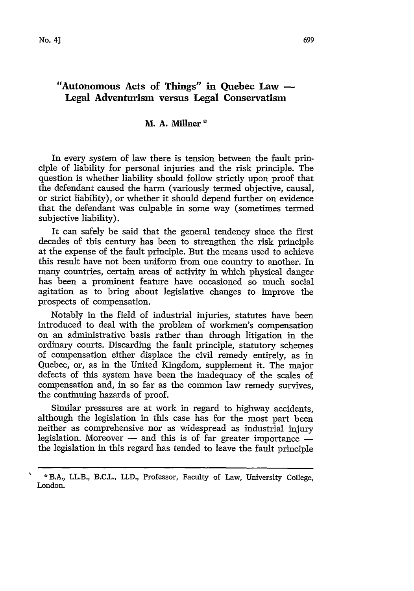# **"Autonomous Acts of Things" in Quebec Law - Legal Adventurism versus Legal Conservatism**

### M. **A. Miner \***

In every system of law there is tension between the fault principle of liability for personal injuries and the risk principle. The question is whether liability should follow strictly upon proof that the defendant caused the harm (variously termed objective, causal, or strict liability), or whether it should depend further on evidence that the defendant was culpable in some way (sometimes termed subjective liability).

It can safely be said that the general tendency since the first decades of this century has been to strengthen the risk principle at the expense of the fault principle. But the means used to achieve this result have not been uniform from one country to another. In many countries, certain areas of activity in which physical danger has been a prominent feature have occasioned so much social agitation as to bring about legislative changes to improve the prospects of compensation.

Notably in the field of industrial injuries, statutes have been introduced to deal with the problem of workmen's compensation on an administrative basis rather than through litigation in the ordinary courts. Discarding the fault principle, statutory schemes of compensation either displace the civil remedy entirely, as in Quebec, or, as in the United Kingdom, supplement it. The major defects of this system have been the inadequacy of the scales of compensation and, in so far as the common law remedy survives, the continuing hazards of proof.

Similar pressures are at work in regard to highway accidents, although the legislation in this case has for the most part been neither as comprehensive nor as widespread as industrial injury legislation. Moreover - and this is of far greater importance the legislation in this regard has tended to leave the fault principle

**<sup>\*</sup>** B.A., LL.B., B.C.L., Ll.D., Professor, Faculty of Law, University College, London.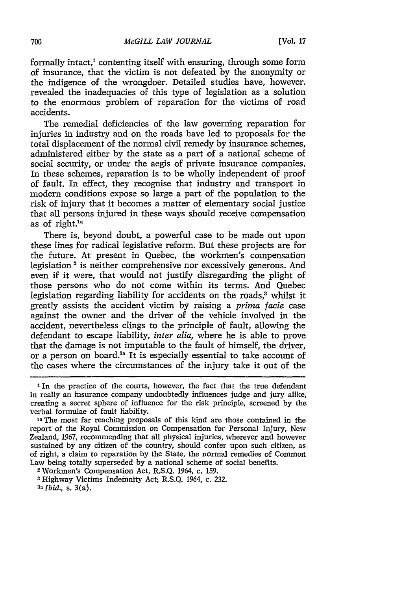formally intact, $<sup>1</sup>$  contenting itself with ensuring, through some form</sup> of insurance, that the victim is not defeated by the anonymity or the indigence of the wrongdoer. Detailed studies have, however. revealed the inadequacies of this type of legislation as a solution to the enormous problem of reparation for the victims of road accidents.

The remedial deficiencies of the law governing reparation for injuries in industry and on the roads have led to proposals for the total displacement of the normal civil remedy by insurance schemes, administered either by the state as a part of a national scheme of social security, or under the aegis of private insurance companies. In these schemes, reparation is to be wholly independent of proof of fault. In effect, they recognise that industry and transport in modern conditions expose so large a part of the population to the risk of injury that it becomes a matter of elementary social justice that all persons injured in these ways should receive compensation as of right.1a

There is, beyond doubt, a powerful case to be made out upon these lines for radical legislative reform. But these projects are for the future. At present in Quebec, the workmen's compensation legislation<sup>2</sup> is neither comprehensive nor excessively generous. And even if it were, that would not justify disregarding the plight of those persons who do not come within its terms. And Quebec legislation regarding liability for accidents on the roads, $3$  whilst it greatly assists the accident victim by raising a *prima facie* case against the owner and the driver of the vehicle involved in the accident, nevertheless clings to the principle of fault, allowing the defendant to escape liability, *inter alia,* where he is able to prove that the damage is not imputable to the fault of himself, the driver, or a person on board.<sup>3a</sup> It is especially essential to take account of the cases where the circumstances of the injury take it out of the

<sup>3</sup> Highway Victims Indemnity Act, R.S.Q. 1964, c. 232.<br><sup>3a</sup> *Ibid.*, s. 3(a).

**<sup>1</sup>** In the practice of the courts, however, the fact that the true defendant in really an insurance company undoubtedly influences judge and jury alike, creating a secret sphere of influence for the risk principle, screened by the

<sup>&</sup>lt;sup>1a</sup> The most far reaching proposals of this kind are those contained in the report of the Royal Commission on Compensation for Personal Injury, New Zealand, 1967, recommending that all physical injuries, wherever and however sustained by any citizen of the country, should confer upon such citizen, as of right, a claim to reparation by the State, the normal remedies of Common Law being totally superseded by a national scheme of social benefits. <sup>2</sup> Workmen's Compensation Act, R.S.Q. 1964, c. 159.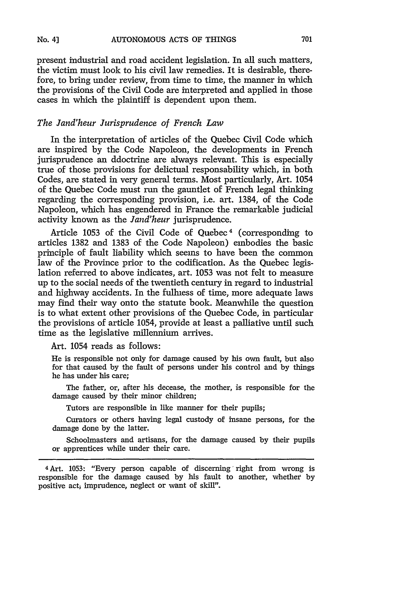present industrial and road accident legislation. In all such matters, the victim must look to his civil law remedies. It is desirable, therefore, to bring under review, from time to time, the manner in which the provisions of the Civil Code are interpreted and applied in those cases in which the plaintiff is dependent upon them.

#### *The Jand'heur Jurisprudence of French Law*

In the interpretation of articles of the Quebec Civil Code which are inspired by the Code Napoleon, the developments in French jurisprudence an ddoctrine are always relevant. This is especially true of those provisions for delictual responsability which, in both Codes, are stated in very general terms. Most particularly, Art. 1054 of the Quebec Code must run the gauntlet of French legal thinking regarding the corresponding provision, i.e. art. 1384, of the Code Napoleon, which has engendered in France the remarkable judicial activity known as the *Jand'heur* jurisprudence.

Article 1053 of the Civil Code of Quebec 4 (corresponding to articles 1382 and 1383 of the Code Napoleon) embodies the basic principle of fault liability which seems to have been the common law of the Province prior to the codification. As the Quebec legislation referred to above indicates, art. 1053 was not felt to measure up to the social needs of the twentieth century in regard to industrial and highway accidents. In the fullness of time, more adequate laws may find their way onto the statute book. Meanwhile the question is to what extent other provisions of the Quebec Code, in particular the provisions of article 1054, provide at least a palliative until such time as the legislative millennium arrives.

Art. 1054 reads as follows:

He is responsible not only for damage caused by his own fault, but also for that caused by the fault of persons under his control and by things he has under his care;

The father, or, after his decease, the mother, is responsible for the damage caused **by** their minor children;

Tutors are responsible in like manner for their pupils;

Curators or others having legal custody of insane persons, for the damage done by the latter.

Schoolmasters and artisans, for the damage caused by their pupils or apprentices while under their care.

<sup>4</sup> Art. 1053: "Every person capable of discerning' right from wrong is responsible for the damage caused **by** his fault to another, whether by positive act, imprudence, neglect or want of skill".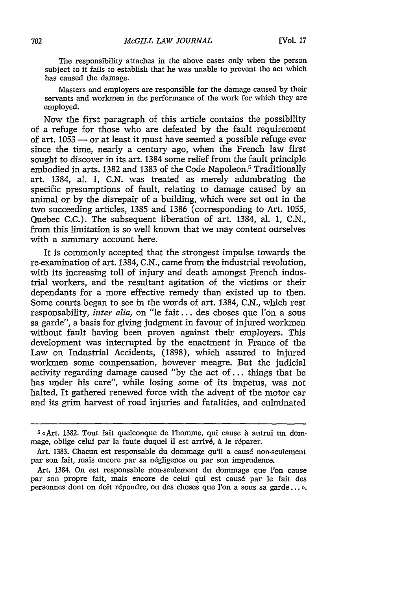The responsibility attaches in the above cases only when the person subject to it fails to establish that he was unable to prevent the act which has caused the damage.

Masters and employers are responsible for the damage caused by their servants and workmen in the performance of the work for which they are employed.

Now the first paragraph of this article contains the possibility of a refuge for those who are defeated by the fault requirement of art.  $1053$  — or at least it must have seemed a possible refuge ever since the time, nearly a century ago, when the French law first sought to discover in its art. 1384 some relief from the fault principle embodied in arts. 1382 and 1383 of the Code Napoleon.<sup>5</sup> Traditionally art. 1384, al. 1, C.N. was treated as merely adumbrating the specific presumptions of fault, relating to damage caused by an animal or by the disrepair of a building, which were set out in the two succeeding articles, 1385 and 1386 (corresponding to Art. 1055, Quebec C.C.). The subsequent liberation of art. 1384, al. 1, C.N., from this limitation is so well known that we may content ourselves with a summary account here.

It is commonly accepted that the strongest impulse towards the re-examination of art. 1384, C.N., came from the industrial revolution, with its increasing toll of injury and death amongst French industrial workers, and the resultant agitation of the victims or their dependants for a more effective remedy than existed up to then. Some courts began to see in the words of art. 1384, C.N., which rest responsability, *inter alia,* on "le fait... des choses que l'on a sous sa garde", a basis for giving judgment in favour of injured workmen without fault having been proven against their employers. This development was interrupted by the enactment in France of the Law on Industrial Accidents, (1898), which assured to injured workmen some compensation, however meagre. But the judicial activity regarding damage caused "by the act of... things that he has under his care", while losing some of its impetus, was not halted. It gathered renewed force with the advent of the motor car and its grim harvest of road injuries and fatalities, and culminated

 $5 \times Art.$  1382. Tout fait quelconque de l'homme, qui cause à autrui un dommage, oblige celui par la faute duquel il est arrivé, à le réparer.

Art. 1383. Chacun est responsable du dommage qu'il a causé non-seulement par son fait, mais encore par sa négligence ou par son imprudence.

Art. 1384. On est responsable non-seulement du dommage que *l'on* cause par son propre fait, mais encore de celui qui est caus6 par le fait des personnes dont on doit répondre, ou des choses que l'on a sous sa garde...».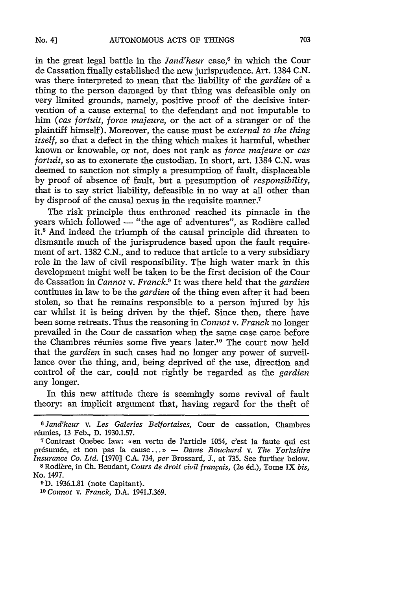in the great legal battle in the *Jand'heur* case,<sup>6</sup> in which the Cour de Cassation finally established the new jurisprudence. Art. 1384 C.N. was there interpreted to mean that the liability of the *gardien* of a thing to the person damaged by that thing was defeasible only on very limited grounds, namely, positive proof of the decisive intervention of a cause external to the defendant and not imputable to him *(cas fortuit, force majeure,* or the act of a stranger or of the plaintiff himself). Moreover, the cause must be *external to the thing itself,* so that a defect in the thing which makes it harmful, whether known or knowable, or not, does not rank as *force majeure* or *cas fortuit*, so as to exonerate the custodian. In short, art. 1384 C.N. was deemed to sanction not simply a presumption of fault, displaceable by proof of absence of fault, but a presumption of *responsibility,* that is to say strict liability, defeasible in no way at all other than by disproof of the causal nexus in the requisite manner.<sup>7</sup>

The risk principle thus enthroned reached its pinnacle in the years which followed - "the age of adventures", as Rodière called it.<sup>8</sup> And indeed the triumph of the causal principle did threaten to dismantle much of the jurisprudence based upon the fault requirement of art. 1382 C.N., and to reduce that article to a very subsidiary role in the law of civil responsibility. The high water mark in this development might well be taken to be the first decision of the Cour de Cassation in *Cannot v. Franck.9* It was there held that the *gardien* continues in law to be the *gardien* of the thing even after it had been stolen, so that he remains responsible to a person injured by his car whilst it is being driven by the thief. Since then, there have been some retreats. Thus the reasoning in *Connot v. Franck* no longer prevailed in the Cour de cassation when the same case came before the Chambres réunies some five years later.<sup>10</sup> The court now held that the *gardien* in such cases had no longer any power of surveillance over the thing, and, being deprived of the use, direction and control of the car, could not rightly be regarded as the *gardien* any longer.

In this new attitude there is seemingly some revival of fault theory: an implicit argument that, having regard for the theft of

No. 1497.

**9** D. 1936.1.81 (note Capitant). *'*

*<sup>0</sup> Connot v. Franck,* **DA.** 19411.369.

*OJand'heur v. Les Galeries Belfortaises,* Cour de cassation, Chambres réunies, 13 Feb., D. 1930.1.57.

<sup>7</sup> Contrast Quebec law: «en vertu de l'article 1054, c'est la faute qui est présumée, et non pas la cause...» - *Dame Bouchard v. The Yorkshire Insurance Co. Ltd.* [1970] C.A. 734, *per* Brossard, **J.,** at 735. See further below. s Rodi~re, in Ch. Beudant, *Cours de droit civil frangais,* (2e 6d.), Tome IX *bis,*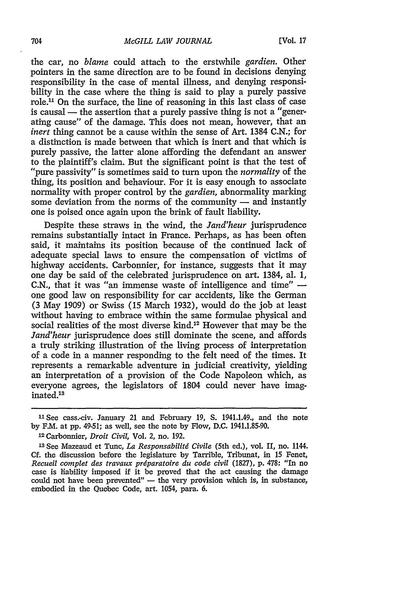the car, no *blame* could attach to the erstwhile *gardien.* Other pointers in the same direction are to be found in decisions denying responsibility in the case of mental illness, and denying responsibility in the case where the thing is said to play a purely passive role.1' On the surface, the line of reasoning in this last class of case is causal **-** the assertion that a purely passive thing is not a "generating cause" of the damage. This does not mean, however, that an *inert* thing cannot be a cause within the sense of Art. 1384 C.N.; for a distinction is made between that which is inert and that which is purely passive, the latter alone affording the defendant an answer to the plaintiff's claim. But the significant point is that the test of "pure passivity" is sometimes said to turn upon the *normality* of the thing, its position and behaviour. For it is easy enough to associate normality with proper control by the *gardien,* abnormality marking some deviation from the norms of the community — and instantly one is poised once again upon the brink of fault liability.

Despite these straws in the wind, the *Jand'heur* jurisprudence remains substantially intact in France. Perhaps, as has been often said, it maintains its position because of the continued lack of adequate special laws to ensure the compensation of victims of highway accidents. Carbonnier, for instance, suggests that it may one day be said of the celebrated jurisprudence on art. 1384, al. 1, C.N., that it was "an immense waste of intelligence and time"  one good law on responsibility for car accidents, like the German (3 May 1909) or Swiss (15 March 1932), would do the job at least without having to embrace within the same formulae physical and social realities of the most diverse kind.<sup>12</sup> However that may be the *Jand'heur* jurisprudence does still dominate the scene, and affords a truly striking illustration of the living process of interpretation of a code in a manner responding to the felt need of the times. It represents a remarkable adventure in judicial creativity, yielding an interpretation of a provision of the Code Napoleon which, as everyone agrees, the legislators of 1804 could never have imaginated.13

<sup>&</sup>lt;sup>11</sup> See cass.-civ. January 21 and February 19, S. 1941.1.49., and the note by F.M. at pp. 49-51; as well, see the note by Flow, D.C. 1941.1.85-90.

<sup>&#</sup>x27; <sup>2</sup> Carbonnier, *Droit Civil,* Vol. 2, no. 192.

<sup>&</sup>lt;sup>13</sup> See Mazeaud et Tunc, *La Responsabilité Civile* (5th ed.), vol. II, no. 1144. Cf. the discussion before the legislature by Tarrible, Tribunat, in 15 Fenet, *Recueil complet des travaux prdparatoire du code civil* (1827), p. 478: "In no case is liability imposed if it be proved that the act causing the damage could not have been prevented"  $-$  the very provision which is, in substance, embodied in the Quebec Code, art. 1054, para. 6.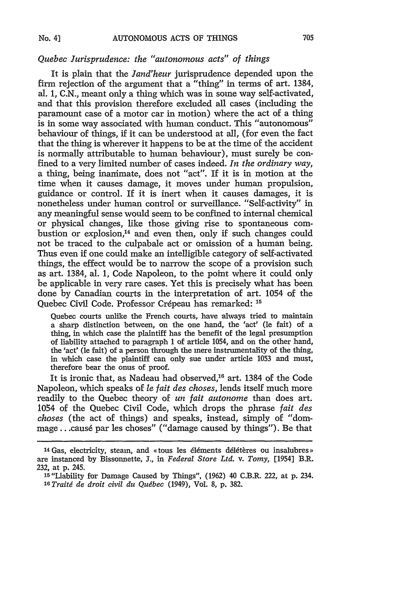**No. 4]**

# *Quebec Jurisprudence: the "autonomous acts" of things*

It is plain that the *Jand'heur* jurisprudence depended upon the firm rejection of the argument that a "thing" in terms of art. 1384, al. 1, C.N., meant only a thing which was in some way self-activated, and that this provision therefore excluded all cases (including the paramount case of a motor car in motion) where the act of a thing is in some way associated with human conduct. This "autonomous" behaviour of things, if it can be understood at all, (for even the fact that the thing is wherever it happens to be at the time of the accident is normally attributable to human behaviour), must surely be confined to a very limited number of cases indeed. *In the ordinary way,* a thing, being inanimate, does not "act". If it is in motion at the time when it causes damage, it moves under human propulsion, guidance or control. If it is inert when it causes damages, it is nonetheless under human control or surveillance. "Self-activity" in any meaningful sense would seem to be confined to internal chemical or physical changes, like those giving rise to spontaneous combustion or explosion,<sup>14</sup> and even then, only if such changes could not be traced to the culpabale act or omission of a human being. Thus even if one could make an intelligible category of self-activated things, the effect would be to narrow the scope of a provision such as art. 1384, al. **1,** Code Napoleon, to the point where it could only be applicable in very rare cases. Yet this is precisely what has been done by Canadian courts in the interpretation of art. 1054 of the Quebec Civil Code. Professor Crépeau has remarked: <sup>15</sup>

Quebec courts unlike the French courts, have always tried to maintain a sharp distinction between, on the one hand, the 'act' (le fait) of a thing, in which case the plaintiff has the benefit of the legal presumption of liability attached to paragraph 1 of article 1054, and on the other hand, the 'act' (le fait) of a person through the mere instrumentality of the thing, in which case the plaintiff can only sue under article 1053 and must, therefore bear the onus of proof.

It is ironic that, as Nadeau had observed,<sup>16</sup> art. 1384 of the Code Napoleon, which speaks of *le fait des choses,* lends itself much more readily to the Quebec theory of *un fait autonome* than does art. 1054 of the Quebec Civil Code, which drops the phrase *fait des choses* (the act of things) and speaks, instead, simply of "dommage...caus6 par les choses" ("damage caused by things"). Be that

<sup>14</sup> Gas, electricity, steam, and «tous les éléments délétères ou insalubres» are instanced by Bissonnette, **J.,** in *Federal Store Ltd. v. Tomy,* [1954] B.R. 232, at p. 245.

**<sup>15</sup>**"Liability for Damage Caused by Things", (1962) 40 C.B.R. 222, at p. 234. *<sup>16</sup>Traitg de droit civil du Quibec* (1949), Vol. 8, p. 382.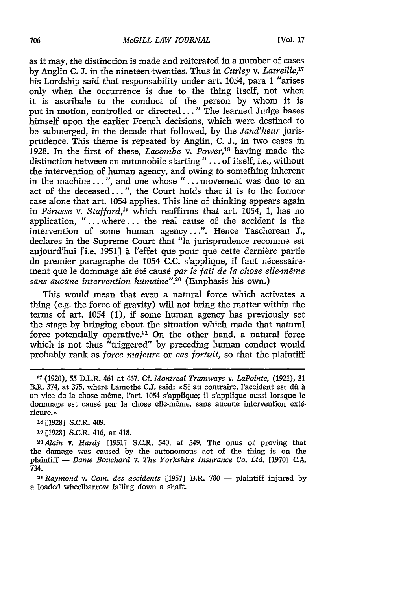as it may, the distinction is made and reiterated in a number of cases by Anglin C. J. in the nineteen-twenties. Thus in *Curley v. Latreille,",* his Lordship said that responsability under art. 1054, para 1 "arises only when the occurrence is due to the thing itself, not when it is ascribale to the conduct of the person by whom it is put in motion, controlled or directed..." The learned Judge bases himself upon the earlier French decisions, which were destined to be submerged, in the decade that followed, by the *Jand'heur* jurisprudence. This theme is repeated by Anglin, C. **J.,** in two cases in 1928. In the first of these, *Lacombe v. Power,18* having made the distinction between an automobile starting" ... of itself, i.e., without the intervention of human agency, and owing to something inherent in the machine... *",* and one whose **"..** . movement was due to an act of the deceased... ", the Court holds that it is to the former case alone that art. 1054 applies. This line of thinking appears again in *Pérusse* v. Stafford,<sup>19</sup> which reaffirms that art. 1054, 1, has no application, **"...** .where.., the real cause of the accident is the intervention of some human agency.. .". Hence Taschereau **J.,** declares in the Supreme Court that "la jurisprudence reconnue est aujourd'hui [i.e. 1951] à l'effet que pour que cette dernière partie du premier paragraphe de 1054 C.C. s'applique, il faut nécessairement que le dommage ait *dt6* caus6 *par le fait de la chose elle-mgme sans aucune intervention humaine".2 °* (Emphasis his own.)

This would mean that even a natural force which activates a thing (e.g. the force of gravity) will not bring the matter within the terms of art. 1054 (1), if some human agency has previously set the stage by bringing about the situation which made that natural force potentially operative.<sup>21</sup> On the other hand, a natural force which is not thus "triggered" by preceding human conduct would probably rank as *force majeure* or *cas fortuit,* so that the plaintiff

**<sup>19</sup>**[1928] S.C.R. 416, at 418.

**<sup>17</sup>**(1920), 55 D.L.R. 461 at 467. Cf. *Montreal Tramways v. LaPointe,* (1921), 31 B.R. 374, at 375, where Lamothe C.J. said: «Si au contraire, l'accident est dû à un vice de la chose même, l'art. 1054 s'applique; il s'applique aussi lorsque le dommage est causé par la chose elle-même, sans aucune intervention extérieure.

**Is** [1928] S.C.R. 409.

*<sup>2</sup>OAlain v. Hardy* [1951] S.C.R. 540, at 549. The onus of proving that the damage was caused by the autonomous act of the thing is on the plaintiff - *Dame Bouchard v. The Yorkshire Insurance Co. Ltd.* [1970] C.A. 734.

<sup>&</sup>lt;sup>21</sup> Raymond v. Com. des accidents [1957] B.R. 780 - plaintiff injured by a loaded wheelbarrow falling down a shaft.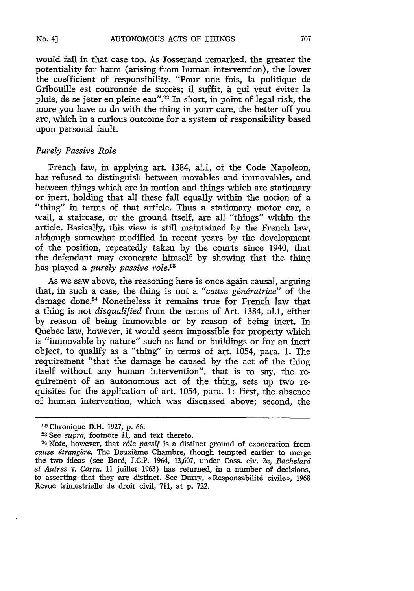707

would fail in that case too. As Josserand remarked, the greater the potentiality for harm (arising from human intervention), the lower the coefficient of responsibility. "Pour une fois, la politique de Gribouille est couronnée de succès; il suffit, à qui veut éviter la pluie, de se jeter en pleine eau".<sup>22</sup> In short, in point of legal risk, the more you have to do with the thing in your care, the better off you are, which in a curious outcome for a system of responsibility based upon personal fault.

## *Purely Passive Role*

French law, in applying art. 1384, al.1, of the Code Napoleon, has refused to distinguish between movables and immovables, and between things which are in motion and things which are stationary or inert, holding that all these fall equally within the notion of a "thing" in terms of that article. Thus a stationary motor car, a wall, a staircase, or the ground itself, are all "things" within the article. Basically, this view is still maintained by the French law, although somewhat modified in recent years by the development of the position, repeatedly taken by the courts since 1940, that the defendant may exonerate himself by showing that the thing has played a *purely passive role.23*

As we saw above, the reasoning here is once again causal, arguing that, in such a case, the thing is not a "cause génératrice" of the damage done.24 Nonetheless it remains true for French law that a thing is not *disqualified* from the terms of Art. 1384, al.1, either by reason of being immovable or by reason of being inert. In Quebec law, however, it would seem impossible for property which is "immovable by nature" such as land or buildings or for an inert object, to qualify as a "thing" in terms of art. 1054, para. **1.** The requirement "that the damage be caused by the act of the thing itself without any human intervention", that is to say, the requirement of an autonomous act of the thing, sets up two requisites for the application of art. 1054, para. **1:** first, the absence of human intervention, which was discussed above; second, the

<sup>22</sup>Chronique D.H. 1927, p. 66.

**<sup>23</sup>**See *supra,* footnote **11,** and text thereto.

<sup>24</sup> Note, however, that *r6le passif* is a distinct ground of exoneration from *cause étrangère.* The Deuxième Chambre, though tempted earlier to merge the two ideas (see Boré, J.C.P. 1964, 13,607, under Cass. civ. 2e, *Bachelard et Autres v. Carra,* **11** juillet 1963) has returned, in a number of decisions, to asserting that they are distinct. See Durry, «Responsabilité civile», 1968 Revue trimestrielle de droit civil, 711, at p. 722.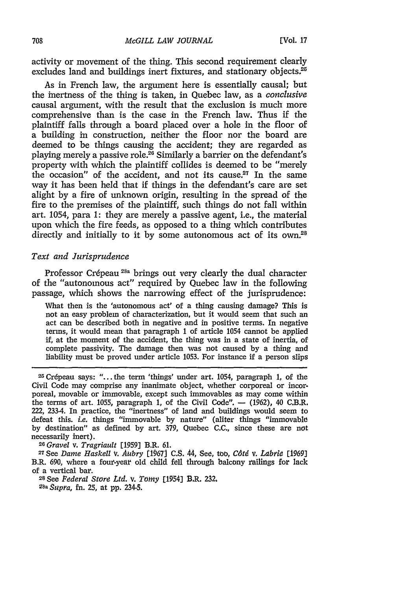activity or movement of the thing. This second requirement clearly excludes land and buildings inert fixtures, and stationary objects. $25$ 

As in French law, the argument here is essentially causal; but the inertness of the thing is taken, in Quebec law, as a *conclusive* causal argument, with the result that the exclusion is much more comprehensive than is the case in the French law. Thus if the plaintiff falls through a board placed over a hole in the floor of a building in construction, neither the floor nor the board are deemed to be things causing the accident; they are regarded as playing merely a passive role.<sup>26</sup> Similarly a barrier on the defendant's property with which the plaintiff collides is deemed to be "merely the occasion" of the accident, and not its cause.<sup>27</sup> In the same way it has been held that if things in the defendant's care are set alight by a fire of unknown origin, resulting in the spread of the fire to the premises of the plaintiff, such things do not fall within art. 1054, para 1: they are merely a passive agent, i.e., the material upon which the fire feeds, as opposed to a thing which contributes directly and initially to it by some autonomous act of its own.<sup>28</sup>

#### *Text and Jurisprudence*

Professor Crépeau<sup>28a</sup> brings out very clearly the dual character of the "autonomous act" required by Quebec law in the following passage, which shows the narrowing effect of the jurisprudence:

What then is the 'autonomous act' of a thing causing damage? This is not an easy problem of characterization, but it would seem that such an act can be described both in negative and in positive terms. In negative terms, it would mean that paragraph **1** of article 1054 cannot be applied if, at the moment of the accident, the thing was in a state of inertia, of complete passivity. The damage then was not caused by a thing and liability must be proved under article 1053. For instance if a person slips

<sup>25</sup> Crépeau says: "... the term 'things' under art. 1054, paragraph 1, of the Civil Code may comprise any inanimate object, whether corporeal or incorporeal, movable or immovable, except such immovables as may come within the terms of art. 1055, paragraph 1, of the Civil Code".  $-$  (1962), 40 C.B.R. 222, 2334. In practice, the "inertness" of land and buildings would seem to defeat this. *i.e.* things "immovable **by** nature" (aliter things "immovable by destination" as defined by art. 379, Quebec C.C., since these are not necessarily inert).

**<sup>26</sup>***Gravel v. Tragriault* [1959] B.R. 61.

**<sup>27</sup>**See *Dame Haskell V. Aubry* [19671 **C.S.** 44, See, too, *C6td v. Labrie* [1969] B.R. 690, where a four-year old child fell through balcony railings for lack of a vertical bar.

**<sup>28</sup>**See *Federal Store Ltd. v. Tomy* [1954] B.R. 232. **98a** *Supra, fn.* 25, at **pp.** 234-5.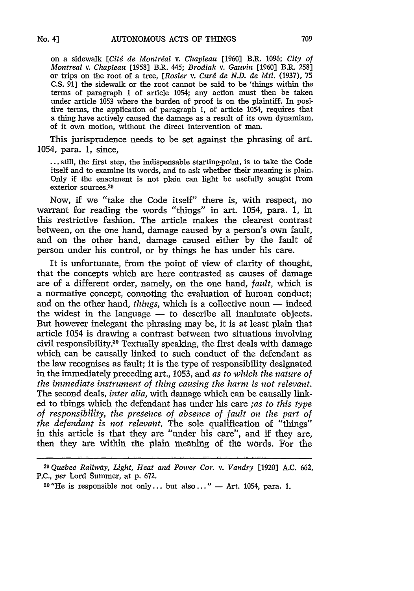on a sidewalk *[Citd de Montrdal v. Chapleau* [1960] B.R. **1096;** *City of Montreal v. Chapleau* [1958] B.R. 445; *Brodiak v. Gauvin* [1960] B.R. 258] or trips on the root of a tree, *[Rosler v. Curd de N.D. de Mtl.* (1937), 75 C.S. 91] the sidewalk or the root cannot be said to be 'things within the terms of paragraph 1 of article 1054; any action must then be taken under article 1053 where the burden of proof is on the plaintiff. In positive terms, the application of paragraph 1, of article 1054, requires that a thing have actively caused the damage as a result of its own dynamism, of it own motion, without the direct intervention of man.

This jurisprudence needs to be set against the phrasing of art. 1054, para. 1, since,

**...** still, the first step, the indispensable starting-point, is to take the Code itself and to examine its words, and to ask whether their meaning is plain. Only if the enactment is not plain can light be usefully sought from exterior sources.<sup>29</sup>

Now, if we "take the Code itself" there is, with respect, no warrant for reading the words "things" in art. 1054, para. 1, in this restrictive fashion. The article makes the clearest contrast between, on the one hand, damage caused by a person's own fault, and on the other hand, damage caused either by the fault of person under his control, or by things he has under his care.

It is unfortunate, from the point of view of clarity of thought, that the concepts which are here contrasted as causes of damage are of a different order, namely, on the one hand, *fault,* which is a normative concept, connoting the evaluation of human conduct; and on the other hand, *things*, which is a collective noun — indeed the widest in the language - to describe all inanimate objects. But however inelegant the phrasing may be, it is at least plain that article 1054 is drawing a contrast between two situations involving civil responsibility.<sup>30</sup> Textually speaking, the first deals with damage which can be causally linked to such conduct of the defendant as the law recognises as fault; it is the type of responsibility designated in the immediately preceding art., 1053, and *as to which the nature of the immediate instrument of thing causing the harm is not relevant.* The second deals, *inter alia,* with damage which can be causally linked to things which the defendant has under his care *;as to this type of responsibility, the presence of absence of fault on the part of the defendant is not relevant.* The sole qualification of "things" in this article is that they are "under his care", and if they are, then they are within the plain meahing **of** the words. For the

*<sup>29</sup> Quebec Railway, Light, Heat and Power Cor. v. Vandry* [19201 A.C. 662, P.C., *per* Lord Summer, at p. 672.

 $30$  "He is responsible not only... but also..."  $-$  Art. 1054, para. 1.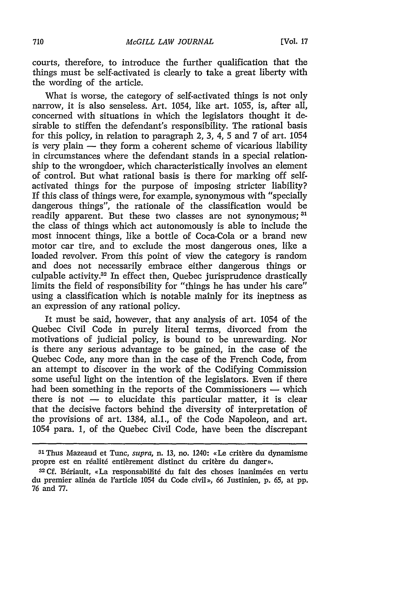courts, therefore, to introduce the further qualification that the things must be self-activated is clearly to take a great liberty with the wording of the article.

What is worse, the category of self-activated things is not only narrow, it is also senseless. Art. 1054, like art. 1055, is, after all, concerned with situations in which the legislators thought it desirable to stiffen the defendant's responsibility. The rational basis for this policy, in relation to paragraph 2, 3, 4, 5 and 7 of art. 1054 is very plain  $-$  they form a coherent scheme of vicarious liability in circumstances where the defendant stands in a special relationship to the wrongdoer, which characteristically involves an element of control. But what rational basis is there for marking off selfactivated things for the purpose of imposing stricter liability? If this class of things were, for example, synonymous with "specially dangerous things", the rationale of the classification would be readily apparent. But these two classes are not synonymous; **31** the class of things which act autonomously is able to include the most innocent things, like a bottle of Coca-Cola or a brand new motor car tire, and to exclude the most dangerous ones, like a loaded revolver. From this point of view the category is random and does not necessarily embrace either dangerous things or culpable activity.32 In effect then, Quebec jurisprudence drastically limits the field of responsibility for "things he has under his care" using a classification which is notable mainly for its ineptness as an expression of any rational policy.

It must be said, however, that any analysis of art. 1054 of the Quebec Civil Code in purely literal terms, divorced from the motivations of judicial policy, is bound to be unrewarding. Nor is there any serious advantage to be gained, in the case of the Quebec Code, any more than in the case of the French Code, from an attempt to discover in the work of the Codifying Commission some useful light on the intention of the legislators. Even if there had been something in the reports of the Commissioners  $-$  which there is not  $-$  to elucidate this particular matter, it is clear that the decisive factors behind the diversity of interpretation of the provisions of art. 1384, al.l., of the Code Napoleon, and art. 1054 para. 1, of the Quebec Civil Code, have been the discrepant

<sup>&</sup>lt;sup>31</sup> Thus Mazeaud et Tunc, *supra*, n. 13, no. 1240: «Le critère du dynamisme propre est en réalité entièrement distinct du critère du danger».

<sup>&</sup>lt;sup>32</sup> Cf. Bériault, «La responsabilité du fait des choses inanimées en vertu du premier alinéa de l'article 1054 du Code civil», 66 Justinien, p. 65, at pp. 76 and 77.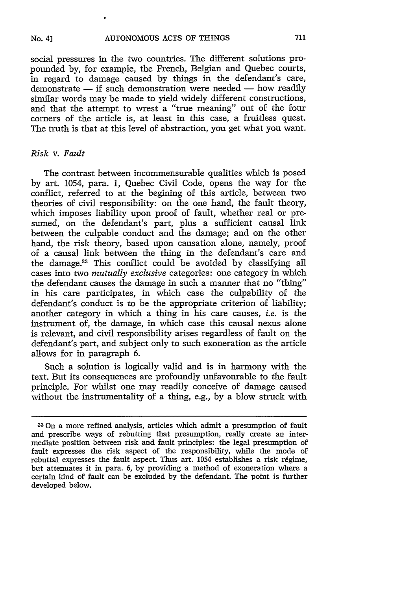social pressures in the two countries. The different solutions propounded by, for example, the French, Belgian and Quebec courts, in regard to damage caused by things in the defendant's care,  $demonstrate$   $-$  if such demonstration were needed  $-$  how readily similar words may be made to yield widely different constructions, and that the attempt to wrest a "true meaning" out of the four corners of the article is, at least in this case, a fruitless quest. The truth is that at this level of abstraction, you get what you want.

#### *Risk v. Fault*

The contrast between incommensurable qualities which is posed by art. 1054, para. **1,** Quebec Civil Code, opens the way for the conflict, referred to at the begining of this article, between two theories of civil responsibility: on the one hand, the fault theory, which imposes liability upon proof of fault, whether real or presumed, on the defendant's part, plus a sufficient causal link between the culpable conduct and the damage; and on the other hand, the risk theory, based upon causation alone, namely, proof of a causal link between the thing in the defendant's care and the damage 33 This conflict could be avoided by classifying all cases into two *mutually exclusive* categories: one category in which the defendant causes the damage in such a manner that no "thing" in his care participates, in which case the culpability of the defendant's conduct is to be the appropriate criterion of liability; another category in which a thing in his care causes, *i.e.* is the instrument of, the damage, in which case this causal nexus alone is relevant, and civil responsibility arises regardless of fault on the defendant's part, and subject only to such exoneration as the article allows for in paragraph 6.

Such a solution is logically valid and is in harmony with the text. But its consequences are profoundly unfavourable to the fault principle. For whilst one may readily conceive of damage caused without the instrumentality of a thing, e.g., by a blow struck with

**<sup>33</sup>**On a more refined analysis, articles which admit a presumption of fault and prescribe ways of rebutting that presumption, really create an intermediate position between risk and fault principles: the legal presumption of fault expresses the risk aspect of the responsibility, while the mode of rebuttal expresses the fault aspect. Thus art. 1054 establishes a risk régime, but attenuates it in para. 6, by providing a method of exoneration where a certain kind of fault can be excluded by the defendant. The point is further developed below.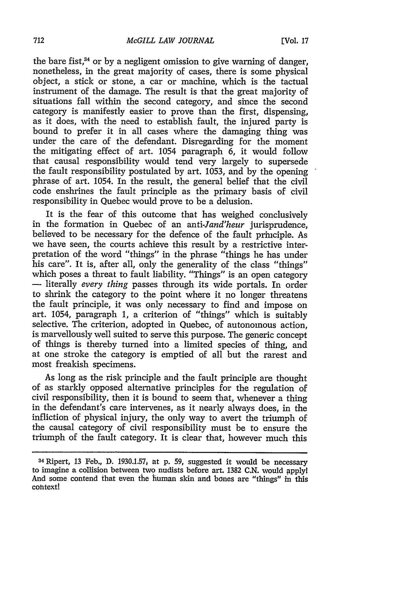the bare fist, $34$  or by a negligent omission to give warning of danger, nonetheless, in the great majority of cases, there is some physical object, a stick or stone, a car or machine, which is the tactual instrument of the damage. The result is that the great majority of situations fall within the second category, and since the second category is manifestly easier to prove than the first, dispensing, as it does, with the need to establish fault, the injured party is bound to prefer it in all cases where the damaging thing was under the care of the defendant. Disregarding for the moment the mitigating effect of art. 1054 paragraph 6, it would follow that causal responsibility would tend very largely to supersede the fault responsibility postulated by art. 1053, and by the opening phrase of art. 1054. In the result, the general belief that the civil code enshrines the fault principle as the primary basis of civil responsibility in Quebec would prove to be a delusion.

It is the fear of this outcome that has weighed conclusively in the formation in Quebec of an *anti-Jand'heur* jurisprudence, believed to be necessary for the defence of the fault principle. As we have seen, the courts achieve this result by a restrictive interpretation of the word "things" in the phrase "things he has under his care". It is, after all, only the generality of the class "things" which poses a threat to fault liability. "Things" is an open category **-** literally *every thing* passes through its wide portals. In order to shrink the category to the point where it no longer threatens the fault principle, it was only necessary to find and impose on art. 1054, paragraph **1,** a criterion of "things" which is suitably selective. The criterion, adopted in Quebec, of autonomous action, is marvellously well suited to serve this purpose. The generic concept of things is thereby turned into a limited species of thing, and at one stroke the category is emptied of all but the rarest and most freakish specimens.

As long as the risk principle and the fault principle are thought of as starkly opposed alternative principles for the regulation of civil responsibility, then it is bound to seem that, whenever a thing in the defendant's care intervenes, as it nearly always does, in the infliction of physical injury, the only way to avert the triumph of the causal category of civil responsibility must be to ensure the triumph of the fault category. It is clear that, however much this

<sup>34</sup> Ripert, 13 Feb., D. 1930.1.57, at p. 59, suggested it would be necessary to imagine a collision between two nudists before art. 1382 C.N. would applyl And some contend that even the human skin and bones are "things" in this context!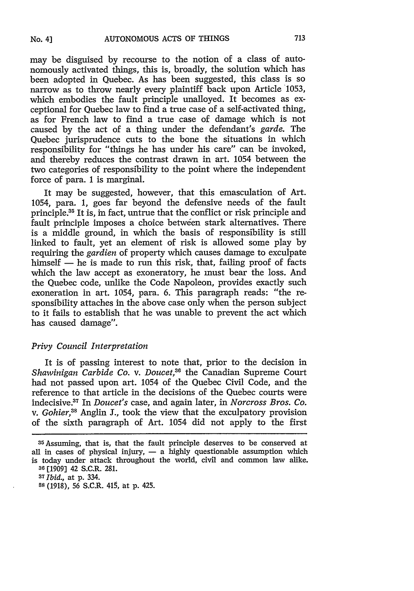may be disguised by recourse to the notion of a class of autonomously activated things, this is, broadly, the solution which has been adopted in Quebec. As has been suggested, this class is so narrow as to throw nearly every plaintiff back upon Article 1053, which embodies the fault principle unalloyed. It becomes as exceptional for Quebec law to find a true case of a self-activated thing, as for French law to find a true case of damage which is not caused by the act of a thing under the defendant's *garde.* The Quebec jurisprudence cuts to the bone the situations in which responsibility for "things he has under his care" can be invoked, and thereby reduces the contrast drawn in art. 1054 between the two categories of responsibility to the point where the independent force of para. 1 is marginal.

It may be suggested, however, that this emasculation of Art. 1054, para. 1, goes far beyond the defensive needs of the fault principle.<sup>35</sup> It is, in fact, untrue that the conflict or risk principle and fault principle imposes a choice between stark alternatives. There is a middle ground, in which the basis of responsibility is still linked to fault, yet an element of risk is allowed some play by requiring the *gardien* of property which causes damage to exculpate  $himself$   $he$  is made to run this risk, that, failing proof of facts which the law accept as exoneratory, he must bear the loss. And the Quebec code, unlike the Code Napoleon, provides exactly such exoneration in art. 1054, para. 6. This paragraph reads: "the responsibility attaches in the above case only when the person subject to it fails to establish that he was unable to prevent the act which has caused damage".

### *Privy Council Interpretation*

It is of passing interest to note that, prior to the decision in *Shawinigan Carbide Co. v. Doucet,36* the Canadian Supreme Court had not passed upon art. 1054 of the Quebec Civil Code, and the reference to that article in the decisions of the Quebec courts were indecisive.37 In *Doucet's* case, and again later, in *Norcross Bros. Co. v. Gohier,38* Anglin **3.,** took the view that the exculpatory provision of the sixth paragraph of Art. 1054 did not apply to the first

35Assuming, that is, that the fault principle deserves to be conserved at all in cases of physical injury, **-** a highly questionable assumption which is today under attack throughout the world, civil and common law alike. **30** [1909] 42 S.C.R. 281.

*37Ibid.,* at p. 334.

**<sup>88</sup>**(1918), 56 S.C.R. 415, at p. 425.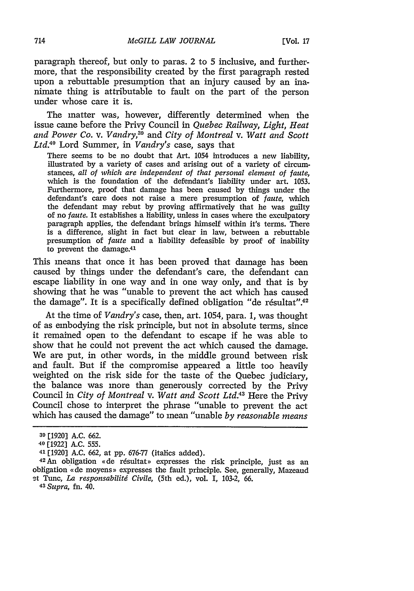paragraph thereof, but only to paras. 2 to 5 inclusive, and furthermore, that the responsibility created by the first paragraph rested upon a rebuttable presumption that an injury caused by an inanimate thing is attributable to fault on the part of the person under whose care it is.

The matter was, however, differently determined when the issue came before the Privy Council in *Quebec Railway, Light, Heat* and Power Co. v. Vandry,<sup>39</sup> and City of Montreal v. Watt and Scott Ltd.<sup>40</sup> Lord Summer, in *Vandry's* case, says that

There seems to be no doubt that Art. 1054 introduces a new liability, illustrated by a variety of cases and arising out of a variety of circum-<br>stances, all of which are independent of that personal element of faute, which is the foundation of the defendant's liability under art. 1053. Furthermore, proof that damage has been caused by things under the defendant's care does not raise a mere presumption of *faute,* which the defendant may rebut by proving affirmatively that he was guilty of no *faute.* It establishes a liability, unless in cases where the exculpatory paragraph applies, the defendant brings himself within it's terms. There is a difference, slight in fact but clear in law, between a rebuttable presumption of *faute* and a liability defeasible by proof of inability to prevent the damage.<sup>41</sup>

This means that once it has been proved that damage has been caused by things under the defendant's care, the defendant can escape liability in one way and in one way only, and that is by showing that he was "unable to prevent the act which has caused the damage". It is a specifically defined obligation "de résultat".<sup>42</sup>

At the time of *Vandry's* case, then, art. 1054, para. 1, was thought of as embodying the risk principle, but not in absolute terms, since it remained open to the defendant to escape if he was able to show that he could not prevent the act which caused the damage. We are put, in other words, in the middle ground between risk and fault. But if the compromise appeared a little too heavily weighted on the risk side for the taste of the Quebec judiciary, the balance was more than generously corrected by the Privy Council in *City of Montreal v. Watt and Scott Ltd.43* Here the Privy Council chose to interpret the phrase "unable to prevent the act which has caused the damage" to mean "unable *by reasonable means*

**<sup>39</sup>**[1920] A.C. 662.

**<sup>40</sup>** [1922] A.C. 555.

<sup>&</sup>lt;sup>41</sup> [1920] A.C. 662, at pp. 676-77 (italics added).<br><sup>42</sup>An obligation «de résultat» expresses the risk principle, just as an obligation a de moyens **>** expresses the fault principle. See, generally, Mazeaud et Tunc, *La responsabilitg Civile,* (5th ed.), vol. I, 103-2, 66. *<sup>43</sup> Supra,* fni. 40.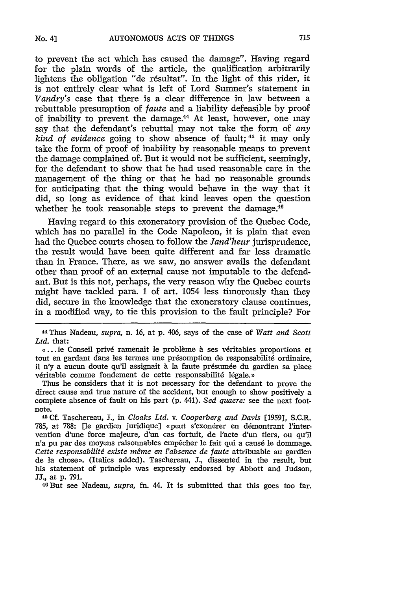to prevent the act which has caused the damage". Having regard for the plain words of the article, the qualification arbitrarily lightens the obligation "de résultat". In the light of this rider, it is not entirely clear what is left of Lord Sumner's statement in *Vandry's* case that there is a clear difference in law between a rebuttable presumption of *faute* and a liability defeasible by proof of inability to prevent the damage.<sup>44</sup> At least, however, one may say that the defendant's rebuttal may not take the form of *any kind of evidence* going to show absence of fault; 45 it may only take the form of proof of inability by reasonable means to prevent the damage complained of. But it would not be sufficient, seemingly, for the defendant to show that he had used reasonable care in the management of the thing or that he had no reasonable grounds for anticipating that the thing would behave in the way that it did, so long as evidence of that kind leaves open the question whether he took reasonable steps to prevent the damage.<sup>46</sup>

Having regard to this exoneratory provision of the Quebec Code, which has no parallel in the Code Napoleon, it is plain that even had the Quebec courts chosen to follow the *Jand'heur* jurisprudence, the result would have been quite different and far less dramatic than in France. There, as we saw, no answer avails the defendant other than proof of an external cause not imputable to the defendant. But is this not, perhaps, the very reason why the Quebec courts might have tackled para. 1 of art. 1054 less timorously than they did, secure in the knowledge that the exoneratory clause continues, in a modified way, to tie this provision to the fault principle? For

<sup>44</sup>Thus Nadeau, *supra,* n. 16, at p. 406, says of the case of *Watt and Scott Ltd.* that:

a... le Conseil priv6 ramenait le probl~me h ses v6ritables proportions et tout en gardant dans les termes une présomption de responsabilité ordinaire, il n'y a aucun doute qu'il assignait à la faute présumée du gardien sa place véritable comme fondement de cette responsabilité légale.»

Thus he considers that it is not necessary for the defendant to prove the direct cause and true nature of the accident, but enough to show positively a complete absence of fault on his part (p. 441). *Sed quaere:* see the next footnote.

**45Cf.** Taschereau, **J.,** in *Cloaks Ltd. v. Cooperberg and Davis* [1959], S.C.R. 785, at 788: [le gardien juridique] «peut s'exonérer en démontrant l'intervention d'une force majeure, d'un cas fortuit, de l'acte d'un tiers, ou qu'il n'a pu par des moyens raisonnables empêcher le fait qui a causé le dommage. *Cette responsabilitd existe mdme en i'absence de faute* attribuable au gardien de la chose). (Italics added). Taschereau, **I.,** dissented in the result, but his statement of principle was expressly endorsed by Abbott and Judson, **JI.,** at p. 791.

46But see Nadeau, *supra,* fn. 44. It is submitted that this goes too far.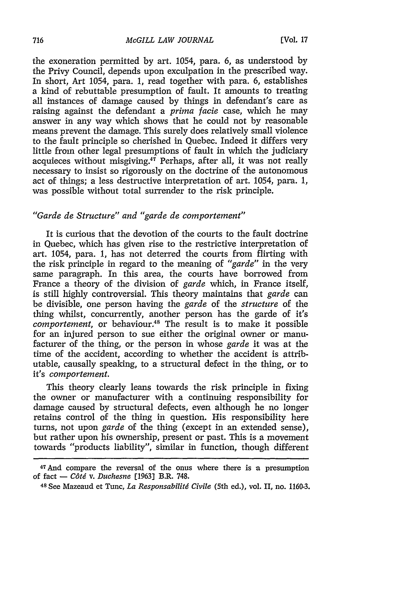the exoneration permitted by art. 1054, para. 6, as understood by the Privy Council, depends upon exculpation in the prescribed way. In short, Art 1054, para. 1, read together with para. 6, establishes a kind of rebuttable presumption of fault. It amounts to treating all instances of damage caused by things in defendant's care as raising against the defendant a *prima facie* case, which he may answer in any way which shows that he could not by reasonable means prevent the damage. This surely does relatively small violence to the fault principle so cherished in Quebec. Indeed it differs very little from other legal presumptions of fault in which the judiciary acquieces without misgiving.<sup>47</sup> Perhaps, after all, it was not really necessary to insist so rigorously on the doctrine of the autonomous act of things; a less destructive interpretation of art. 1054, para. 1, was possible without total surrender to the risk principle.

## *"Garde de Structure" and "garde de comportement"*

It is curious that the devotion of the courts to the fault doctrine in Quebec, which has given rise to the restrictive interpretation of art. 1054, para. **1,** has not deterred the courts from flirting with the risk principle in regard to the meaning of *"garde"* in the very same paragraph. In this area, the courts have borrowed from France a theory of the division of *garde* which, in France itself, is still highly controversial. This theory maintains that *garde* can be divisible, one person having the *garde* of the *structure* of the thing whilst, concurrently, another person has the garde of it's *comportement*, or behaviour.<sup>48</sup> The result is to make it possible for an injured person to sue either the original owner or manufacturer of the thing, or the person in whose *garde* it was at the time of the accident, according to whether the accident is attributable, causally speaking, to a structural defect in the thing, or to it's *comportement.*

This theory clearly leans towards the risk principle in fixing the owner or manufacturer with a continuing responsibility for damage caused by structural defects, even although he no longer retains control of the thing in question. His responsibility here turns, not upon *garde* of the thing (except in an extended sense), but rather upon his ownership, present or past. This is a movement towards "products liability", similar in function, though different

<sup>47</sup> And compare the reversal of the onus where there is a presumption of fact **-** *C6tg v. Duchesne* [1963] B.R. 748.

<sup>48</sup> See Mazeaud et Tunc, *La Responsabilitd Civile* (5th ed.), vol. II, no. 1160.3.